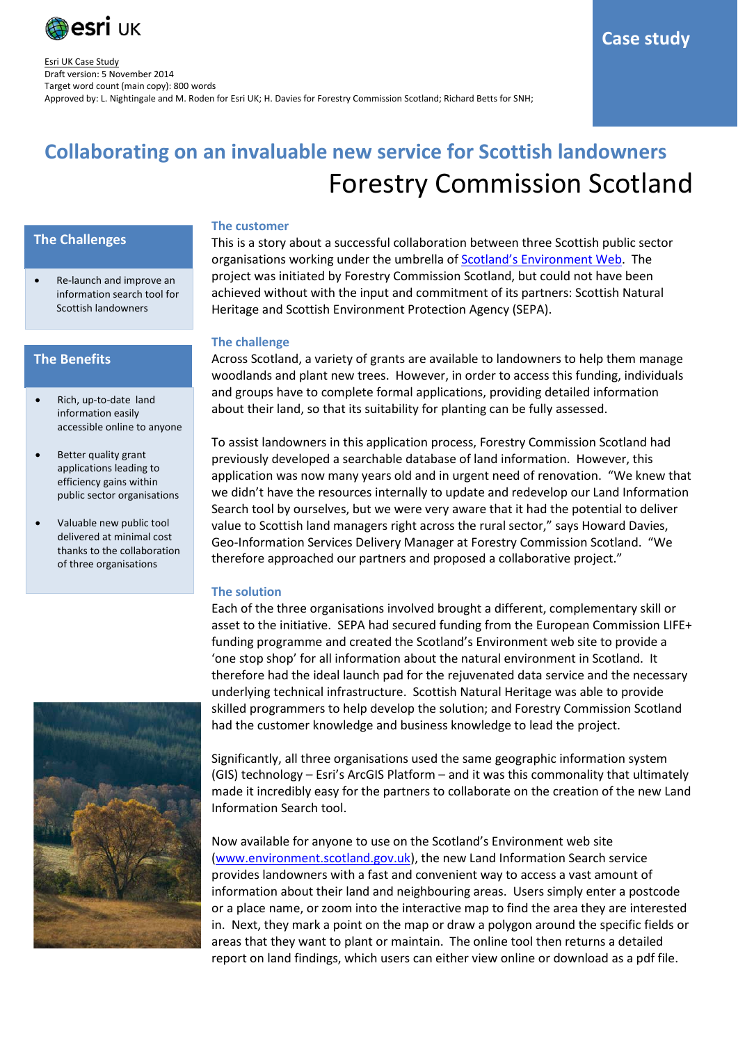

# **Collaborating on an invaluable new service for Scottish landowners** Forestry Commission Scotland

## **The Challenges**

• Re-launch and improve an information search tool for Scottish landowners

## **The Benefits**

- Rich, up-to-date land information easily accessible online to anyone
- Better quality grant applications leading to efficiency gains within public sector organisations
- Valuable new public tool delivered at minimal cost thanks to the collaboration of three organisations



### **The customer**

This is a story about a successful collaboration between three Scottish public sector organisations working under the umbrella of **Scotland's Environment Web**. The project was initiated by Forestry Commission Scotland, but could not have been achieved without with the input and commitment of its partners: Scottish Natural Heritage and Scottish Environment Protection Agency (SEPA).

#### **The challenge**

Across Scotland, a variety of grants are available to landowners to help them manage woodlands and plant new trees. However, in order to access this funding, individuals and groups have to complete formal applications, providing detailed information about their land, so that its suitability for planting can be fully assessed.

To assist landowners in this application process, Forestry Commission Scotland had previously developed a searchable database of land information. However, this application was now many years old and in urgent need of renovation. "We knew that we didn't have the resources internally to update and redevelop our Land Information Search tool by ourselves, but we were very aware that it had the potential to deliver value to Scottish land managers right across the rural sector," says Howard Davies, Geo-Information Services Delivery Manager at Forestry Commission Scotland. "We therefore approached our partners and proposed a collaborative project."

## **The solution**

Each of the three organisations involved brought a different, complementary skill or asset to the initiative. SEPA had secured funding from th[e European Commission LIFE+](http://ec.europa.eu/environment/life/)  [funding programme](http://ec.europa.eu/environment/life/) and created the Scotland's Environment web site to provide a 'one stop shop' for all information about the natural environment in Scotland. It therefore had the ideal launch pad for the rejuvenated data service and the necessary underlying technical infrastructure. Scottish Natural Heritage was able to provide skilled programmers to help develop the solution; and Forestry Commission Scotland had the customer knowledge and business knowledge to lead the project.

Significantly, all three organisations used the same geographic information system (GIS) technology – Esri's ArcGIS Platform – and it was this commonality that ultimately made it incredibly easy for the partners to collaborate on the creation of the new Land Information Search tool.

Now available for anyone to use on the Scotland's Environment web site [\(www.environment.scotland.gov.uk\)](http://www.environment.scotland.gov.uk/), the new Land Information Search service provides landowners with a fast and convenient way to access a vast amount of information about their land and neighbouring areas. Users simply enter a postcode or a place name, or zoom into the interactive map to find the area they are interested in. Next, they mark a point on the map or draw a polygon around the specific fields or areas that they want to plant or maintain. The online tool then returns a detailed report on land findings, which users can either view online or download as a pdf file.